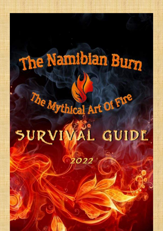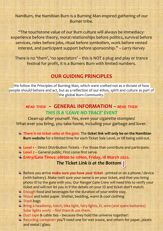NamBurn, the Namibian Burn is a Burning Man-inspired gathering of our Burner tribe.

"The touchstone value of our Burn culture will always be immediacy: experience before theory, moral relationships before politics, survival before services, roles before jobs, ritual before symbolism, work before vested interest, and participant support before sponsorship." – *Larry Harvey*

There is no 'them', 'no spectators' – this is NOT a plug and play or trance festival for profit, it is a Burners Burn with limited numbers.

# **OUR GUIDING PRINCIPLES**

We follow the Principles of Burning Man, which were crafted not as a dictate of how people should behave and act, but as a reflection of our ethos, spirit and culture as part of the global Burn Community.

### *READ THIS! -* **GENERAL INFORMATION –** *READ THIS! THIS IS A 'LEAVE-NO-TRACE' EVENT*

Clean-up after yourself. Yes, even your cigarette stompies! What-ever you bring, you take home, including your garbage and lover.

- **There is no ticket sales at the gate**. The **ticket link will only be on the Namibian Burn website** for a limited time for each Ticket Sale Level, or till being sold-out.
- **Level 1** Direct Distribution Tickets For those that contribute and participate.
- **Level 2** General public. First come first serve.
- **Entry/Gate Times: 08H00 to 12H00, Friday, 18 March 2022.**

#### *The Ticket Link is at the Bottom*

- Before you arrive **make sure you have your ticket** printed or on a phone / device (with battery). Make 100% sure your name is on your ticket, and that you bring photo ID to the gate with you. Our Ranger Gate Crew will need this to verify your ticket and will not let you in if the details on your ID and ticket don't match.
- $\ddagger$  Enough food and beverages for the duration of your entire stay.
- Wood and toilet paper. Shelter, bedding, warm & cool clothing
- $\overline{\text{ }}$  Trash bags
- Bring a headlamp, torch, bike light, fairy lights, EL wire (and spare batteries). Solar lights work! – find them & use them.
- $\ddagger$  Duct tape & cable ties because they hold the universe together!
- Recycling container: you'll need one for wet waste, and others for paper, plastic and metal / glass.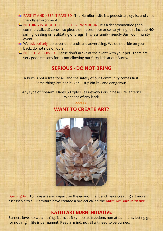- PARK IT AND KEEP IT PARKED The NamBurn site is a pedestrian, cyclist and child friendly environment.
- NOTHING IS BOUGHT OR SOLD AT NAMBURN It's a decommodified (noncommercialized) zone – so please don't promote or sell anything, this include **NO** selling, dealing or facilitating of drugs. This is a family-friendly Burn Community event.
- $\ddot{+}$  We ask politely, do cover up brands and advertising. We do not ride on your back, do not ride on ours.
- $\ddotplus$  NO PETS ALLOWED Please don't arrive at the event with your pet there are very good reasons for us not allowing our furry kids at our Burns.

# **SERIOUS - DO NOT BRING**

A Burn is not a free for all, and the safety of our Community comes first! Some things are not lekker, just plain kak and dangerous.

Any type of fire-arm. Flares & Explosive Fireworks or Chinese Fire lanterns Weapons of any kind!



**Burning Art**: To have a lesser impact on the environment and make creating art more assessable to all. NamBurn have created a project called the **Katiti Art Burn Initiative**.

#### **KATITI ART BURN INITIATIVE**

Burners loves to watch things burn, as it symbolize freedom, non-attachment, letting go, for nothing in life is permanent. Keep in mind, not all art need to be burned.

# **WANT TO CREATE ART?**

**<<<>>>**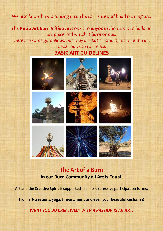#### *We also know how daunting it can be to create and build burning art.*

*The Katiti Art Burn Initiative is open to anyone who wants to build an art piece and watch it burn or not.* 

*There are some guidelines, but they are katiti (small), just like the artpiece you wish to create.* **BASIC ART GUIDELINES**



# **The Art of a Burn In our Burn Community all Art is Equal.**

**Art and the Creative Spirit is supported in all its expressive participation forms:** 

**From art-creations, yoga, fire-art, music and even your beautiful costumes!**

*WHAT YOU DO CREATIVELY WITH A PASSION IS AN ART.*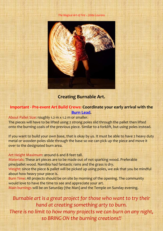*The Magical Art of Fire – Zelda Lourens*



### **Creating Burnable Art.**

#### **Important - Pre-event Art Build Crews: Coordinate your early arrival with the [Burn Lead.](mailto:burn@namibianburn.org)**

About Pallet Size: roughly 1.2 m x 1.2 m or smaller.

The pieces will have to be lifted using 2 strong poles slid through the pallet then lifted onto the burning coals of the previous piece. Similar to a forklift, but using poles instead.

If you want to build your own base, that is okay by us. It must be able to have 2 heavy duty metal or wooden poles slide through the base so we can pick up the piece and move it over to the designated burn area.

#### Art Height Maximum: around 6 and 8 feet tall.

Materials: These art pieces are to be made out of not sparking wood. Preferable pine/pallet wood. Namibia had fantastic rains and the grass is dry.

Weight: since the piece & pallet will be picked up using poles, we ask that you be mindful about how heavy your piece is.

Burn Time: All projects should be on site by morning of the opening. The community would love to have the time to see and appreciate your art.

Main burnings will be on Saturday (the Man) and the Temple on Sunday evening.

Burnable art is a great project for those who want to try their *hand at creating something arty to burn. There is no limit to how many projects we can burn on any night, so BRING ON the burning creations!!*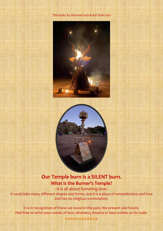





# **Our Temple burn is a SILENT burn. What is the Burner's Temple?**

- It is all about honoring love - It could take many different shapes and forms, but it is a place of remembrance and love and has no religious connotation.

It is in recognition of those we loved in the past, the present and future. Feel free to write your words of love, kindness, dreams or best wishes on its walls.

**<<<<<<>>>>>>**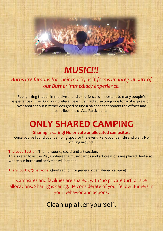# *MUSIC!!!*

# *Burns are famous for their music, as it forms an integral part of our Burner Immediacy experience.*

Recognizing that an immersive sound experience is important to many people's experience of the Burn, our preference isn't aimed at favoring one form of expression over another but is rather designed to find a balance that honors the efforts and contributions of ALL Participants.

# **ONLY SHARED CAMPING**

**Sharing is caring! No private or allocated campsites.** Once you've found your camping spot for the event. Park your vehicle and walk. No driving around.

**The Loud Section**: Theme, sound, social and art section. This is refer to as the Playa, where the music camps and art creations are placed. And also where our burns and activities will happen.

**The Suburbs, Quiet zone**: Quiet section for general open shared camping.

Campsites and facilities are shared, with 'no private turf' or site allocations. Sharing is caring. Be considerate of your fellow Burners in your behavior and actions.

Clean up after yourself.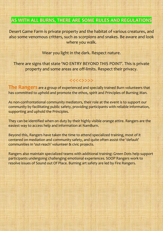# AS WITH ALL BURNS, THERE ARE SOME RULES AND REGULATIONS

Desert Game Farm is private property and the habitat of various creatures, and also some venomous critters, such as scorpions and snakes. Be aware and look where you walk.

Wear you light in the dark. Respect nature.

There are signs that state 'NO ENTRY BEYOND THIS POINT'. This is private property and some areas are off-limits. Respect their privacy.

<<<<>>>>

**The Rangers** are a group of experienced and specially trained Burn volunteers that has committed to uphold and promote the ethos, spirit and Principles of Burning Man.

As non-confrontational community mediators, their role at the event is to support our community by facilitating public safety, providing participants with reliable information, supporting and uphold the Principles.

They can be identified when on duty by their highly visible orange attire. Rangers are the easiest way to access help and information at NamBurn.

Beyond this, Rangers have taken the time to attend specialized training, most of it centered on mediation and community safety, and quite often assist the 'default' communities in 'out-reach' volunteer & civic projects.

Rangers also maintain specialized teams with additional training: Green Dots help support participants undergoing challenging emotional experiences. SOOP Rangers work to resolve issues of Sound out Of Place. Burning art safety are led by Fire Rangers.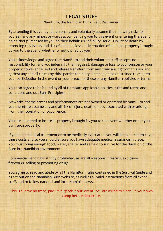# **LEGAL STUFF**

NamBurn, the Namibian Burn Event Disclaimer.

By attending this event you personally and voluntarily assume the following risks for yourself and any minors or wards accompanying you to this event or entering this event on a ticket purchased by you on their behalf: risk of injury, serious injury or death by attending this event, and risk of damage, loss or destruction of personal property brought by you to the event (whether or not owned by you).

You acknowledge and agree that NamBurn and their volunteer staff accepts no responsibility for, and you indemnify them against, damage or loss to your person or your property however caused and release NamBurn from any claim arising from this risk and against any and all claims by third parties for injury, damage or loss sustained relating to your participation in the event or your breach of these or any NamBurn policies or terms.

You also agree to be bound by all of NamBurn applicable policies, rules and terms and conditions and out Burn Principles.

Artworks, theme camps and performances are not owned or operated by NamBurn and you therefore assume any and all risk of injury, death or loss associated with or arising from their operation or occurrence.

You are expected to insure all property brought by you to the event whether or not you own such property.

If you need medical treatment or to be medically evacuated, you will be expected to cover these costs and so you should ensure you have adequate medical insurance in place. You must bring enough food, water, shelter and self-aid to survive for the duration of the Burn in a Namibian environment.

Commercial vending is strictly prohibited, as are all weapons, firearms, explosive fireworks, selling or promoting drugs.

You agree to read and abide by all the NamBurn rules contained in the Survival Guide and as set-out on the Namibian Burn website, as well as all valid instructions from all event staff, and to follow national and local Namibian laws.

This is a leave no trace, pack it in, 'pack it out' event. You are asked to clean-up your own camp before departure.